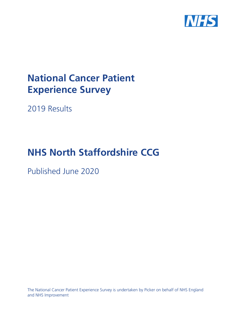

# **National Cancer Patient Experience Survey**

2019 Results

# **NHS North Staffordshire CCG**

Published June 2020

The National Cancer Patient Experience Survey is undertaken by Picker on behalf of NHS England and NHS Improvement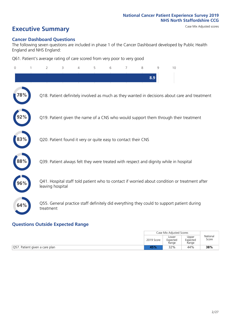# **Executive Summary** Case Mix Adjusted scores

#### **Cancer Dashboard Questions**

The following seven questions are included in phase 1 of the Cancer Dashboard developed by Public Health England and NHS England:

Q61. Patient's average rating of care scored from very poor to very good

| $\overline{0}$ | $\overline{2}$   | 3                                                             | 4 | 5 | 6 | 7 | 8 | 9   | 10                                                                                            |
|----------------|------------------|---------------------------------------------------------------|---|---|---|---|---|-----|-----------------------------------------------------------------------------------------------|
|                |                  |                                                               |   |   |   |   |   | 8.9 |                                                                                               |
|                |                  |                                                               |   |   |   |   |   |     | Q18. Patient definitely involved as much as they wanted in decisions about care and treatment |
|                |                  |                                                               |   |   |   |   |   |     | Q19. Patient given the name of a CNS who would support them through their treatment           |
| 83%            |                  | Q20. Patient found it very or quite easy to contact their CNS |   |   |   |   |   |     |                                                                                               |
| 88%            |                  |                                                               |   |   |   |   |   |     | Q39. Patient always felt they were treated with respect and dignity while in hospital         |
| 96%            | leaving hospital |                                                               |   |   |   |   |   |     | Q41. Hospital staff told patient who to contact if worried about condition or treatment after |
| 64%            | treatment        |                                                               |   |   |   |   |   |     | Q55. General practice staff definitely did everything they could to support patient during    |
|                |                  |                                                               |   |   |   |   |   |     |                                                                                               |

### **Questions Outside Expected Range**

|            | Case Mix Adjusted Scores   |                            |                   |
|------------|----------------------------|----------------------------|-------------------|
| 2019 Score | Lower<br>Expected<br>Range | Upper<br>Expected<br>Range | National<br>Score |
| 45%        | 32%                        | 44%                        | 38%               |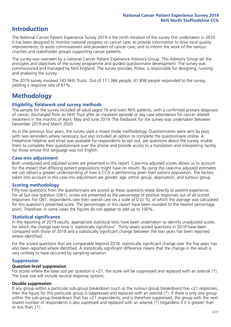## **Introduction**

The National Cancer Patient Experience Survey 2019 is the ninth iteration of the survey first undertaken in 2010. It has been designed to monitor national progress on cancer care; to provide information to drive local quality improvements; to assist commissioners and providers of cancer care; and to inform the work of the various charities and stakeholder groups supporting cancer patients.

The survey was overseen by a national Cancer Patient Experience Advisory Group. This Advisory Group set the principles and objectives of the survey programme and guided questionnaire development. The survey was commissioned and managed by NHS England. The survey provider, Picker, is responsible for designing, running and analysing the survey.

The 2019 survey involved 143 NHS Trusts. Out of 111,366 people, 67,858 people responded to the survey, yielding a response rate of 61%.

# **Methodology**

#### **Eligibility, fieldwork and survey methods**

The sample for the survey included all adult (aged 16 and over) NHS patients, with a confirmed primary diagnosis of cancer, discharged from an NHS Trust after an inpatient episode or day case attendance for cancer related treatment in the months of April, May and June 2019. The fieldwork for the survey was undertaken between December 2019 and March 2020.

As in the previous four years, the survey used a mixed mode methodology. Questionnaires were sent by post, with two reminders where necessary, but also included an option to complete the questionnaire online. A Freephone helpline and email was available for respondents to opt out, ask questions about the survey, enable them to complete their questionnaire over the phone and provide access to a translation and interpreting facility for those whose first language was not English.

#### **Case-mix adjustment**

Both unadjusted and adjusted scores are presented in this report. Case-mix adjusted scores allows us to account for the impact that differing patient populations might have on results. By using the case-mix adjusted estimates we can obtain a greater understanding of how a CCG is performing given their patient population. The factors taken into account in this case-mix adjustment are gender, age, ethnic group, deprivation, and tumour group.

#### **Scoring methodology**

Fifty-two questions from the questionnaire are scored as these questions relate directly to patient experience. For all but one question (Q61), scores are presented as the percentage of positive responses out of all scored responses. For Q61, respondents rate their overall care on a scale of 0 to 10, of which the average was calculated for this question's presented score. The percentages in this report have been rounded to the nearest percentage point. Therefore, in some cases the figures do not appear to add up to 100%.

#### **Statistical significance**

In the reporting of 2019 results, appropriate statistical tests have been undertaken to identify unadjusted scores for which the change over time is 'statistically significant'. Thirty-seven scored questions in 2019 have been compared with those of 2018 and a statistically significant change between the two years has been reported where identified.

For the scored questions that are comparable beyond 2018, statistically significant change over the five years has also been reported where identified. A statistically significant difference means that the change in the result is very unlikely to have occurred by sampling variation.

#### **Suppression**

#### **Question-level suppression**

For scores where the base size per question is  $<$ 21, the score will be suppressed and replaced with an asterisk (\*). The base size will include neutral response options.

#### **Double suppression**

If any group within a particular sub-group breakdown (such as the tumour group breakdown) has <21 responses, then the figure for this particular group is suppressed and replaced with an asterisk (\*). If there is only one group within the sub-group breakdown that has <21 respondents, and is therefore suppressed, the group with the next lowest number of respondents is also supressed and replaced with an asterisk (\*) (regardless if it is greater than or less than 21).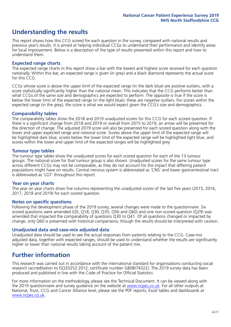# **Understanding the results**

This report shows how this CCG scored for each question in the survey, compared with national results and previous year's results. It is aimed at helping individual CCGs to understand their performance and identify areas for local improvement. Below is a description of the type of results presented within this report and how to understand them.

#### **Expected range charts**

The expected range charts in this report show a bar with the lowest and highest score received for each question nationally. Within this bar, an expected range is given (in grey) and a black diamond represents the actual score for this CCG.

CCGs whose score is above the upper limit of the expected range (in the dark blue) are positive outliers, with a score statistically significantly higher than the national mean. This indicates that the CCG performs better than what CCGs of the same size and demographics are expected to perform. The opposite is true if the score is below the lower limit of the expected range (in the light blue); these are negative outliers. For scores within the expected range (in the grey), the score is what we would expect given the CCG's size and demographics.

#### **Comparability tables**

The comparability tables show the 2018 and 2019 unadjusted scores for this CCG for each scored question. If there is a significant change from 2018 and 2019 or overall from 2015 to 2019, an arrow will be presented for the direction of change. The adjusted 2019 score will also be presented for each scored question along with the lower and upper expected range and national score. Scores above the upper limit of the expected range will be highlighted dark blue, scores below the lower limit of the expected range will be highlighted light blue, and scores within the lower and upper limit of the expected ranges will be highlighted grey.

#### **Tumour type tables**

The tumour type tables show the unadjusted scores for each scored question for each of the 13 tumour groups. The national score for that tumour group is also shown. Unadjusted scores for the same tumour type across different CCGs may not be comparable, as they do not account for the impact that differing patient populations might have on results. Central nervous system is abbreviated as 'CNS' and lower gastrointestinal tract is abbreviated as 'LGT' throughout this report.

#### **Year on year charts**

The year on year charts show five columns representing the unadjusted scores of the last five years (2015, 2016, 2017, 2018 and 2019) for each scored question.

#### **Notes on specific questions**

Following the development phase of the 2019 survey, several changes were made to the questionnaire. Six scored questions were amended (Q5, Q18, Q30, Q35, Q56 and Q60) and one non-scored question (Q29) was amended that impacted the comparability of questions Q30 to Q41. Of all questions changed or impacted by change, only Q60 is presented with historical comparisons; though the results should be interpreted with caution.

#### **Unadjusted data and case-mix adjusted data**

Unadjusted data should be used to see the actual responses from patients relating to the CCG. Case-mix adjusted data, together with expected ranges, should be used to understand whether the results are significantly higher or lower than national results taking account of the patient mix.

### **Further information**

This research was carried out in accordance with the international standard for organisations conducting social research (accreditation to ISO20252:2012; certificate number GB08/74322). The 2019 survey data has been produced and published in line with the Code of Practice for Official Statistics.

For more information on the methodology, please see the Technical Document. It can be viewed along with the 2019 questionnaire and survey quidance on the website at [www.ncpes.co.uk](https://www.ncpes.co.uk/supporting-documents). For all other outputs at National, Trust, CCG and Cancer Alliance level, please see the PDF reports, Excel tables and dashboards at [www.ncpes.co.uk.](https://www.ncpes.co.uk/current-results)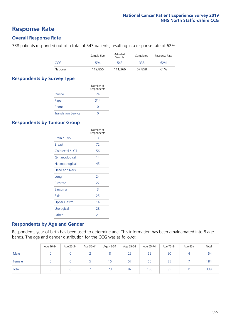### **Response Rate**

#### **Overall Response Rate**

338 patients responded out of a total of 543 patients, resulting in a response rate of 62%.

|          | Sample Size | Adjusted<br>Sample | Completed | Response Rate |
|----------|-------------|--------------------|-----------|---------------|
| CCG      | 594         | 543                | 338       | 62%           |
| National | 119,855     | 111.366            | 67,858    | 61%           |

#### **Respondents by Survey Type**

|                            | Number of<br>Respondents |
|----------------------------|--------------------------|
| Online                     | 24                       |
| Paper                      | 314                      |
| Phone                      | $\left( \right)$         |
| <b>Translation Service</b> |                          |

#### **Respondents by Tumour Group**

|                      | Number of<br>Respondents |
|----------------------|--------------------------|
| <b>Brain / CNS</b>   | 3                        |
| <b>Breast</b>        | 72                       |
| Colorectal / LGT     | 56                       |
| Gynaecological       | 14                       |
| Haematological       | 45                       |
| <b>Head and Neck</b> | 11                       |
| Lung                 | 74                       |
| Prostate             | 22                       |
| Sarcoma              | 3                        |
| Skin                 | 25                       |
| Upper Gastro         | 14                       |
| Urological           | 28                       |
| Other                | 21                       |

#### **Respondents by Age and Gender**

Respondents year of birth has been used to determine age. This information has been amalgamated into 8 age bands. The age and gender distribution for the CCG was as follows:

|        | Age 16-24 | Age 25-34 | Age 35-44 | Age 45-54 | Age 55-64 | Age 65-74 | Age 75-84 | Age 85+  | Total |
|--------|-----------|-----------|-----------|-----------|-----------|-----------|-----------|----------|-------|
| Male   |           |           |           |           | 25        | 65        | 50        | $\Delta$ | 154   |
| Female |           |           |           | 15        | 57        | 65        | 35        |          | 184   |
| Total  |           |           |           | 23        | 82        | 130       | 85        |          | 338   |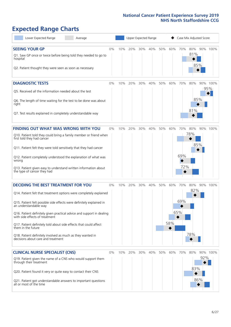# **Expected Range Charts**

| Lower Expected Range<br>Average                                                                                                                                                                                                                                                                                                                                                                                                                                                                                             |    |     | Upper Expected Range |     |     |     |            | Case Mix Adjusted Score |                   |            |                 |
|-----------------------------------------------------------------------------------------------------------------------------------------------------------------------------------------------------------------------------------------------------------------------------------------------------------------------------------------------------------------------------------------------------------------------------------------------------------------------------------------------------------------------------|----|-----|----------------------|-----|-----|-----|------------|-------------------------|-------------------|------------|-----------------|
| <b>SEEING YOUR GP</b><br>Q1. Saw GP once or twice before being told they needed to go to<br>hospital<br>Q2. Patient thought they were seen as soon as necessary                                                                                                                                                                                                                                                                                                                                                             | 0% | 10% | 20%                  | 30% | 40% | 50% | 60%        | 70%                     | 80%<br>81%<br>85% |            | 90% 100%        |
| <b>DIAGNOSTIC TESTS</b><br>Q5. Received all the information needed about the test<br>Q6. The length of time waiting for the test to be done was about<br>right<br>Q7. Test results explained in completely understandable way                                                                                                                                                                                                                                                                                               | 0% | 10% | 20%                  | 30% | 40% | 50% | 60%        | 70%                     | 80%<br>85%<br>81% |            | 90% 100%<br>95% |
| <b>FINDING OUT WHAT WAS WRONG WITH YOU</b><br>Q10. Patient told they could bring a family member or friend when<br>first told they had cancer<br>Q11. Patient felt they were told sensitively that they had cancer<br>Q12. Patient completely understood the explanation of what was<br>wrong<br>Q13. Patient given easy to understand written information about<br>the type of cancer they had                                                                                                                             | 0% | 10% | 20%                  | 30% | 40% | 50% | 60%        | 70%<br>69%<br>72%       | 80%<br>78%<br>85% |            | 90% 100%        |
| <b>DECIDING THE BEST TREATMENT FOR YOU</b><br>Q14. Patient felt that treatment options were completely explained<br>Q15. Patient felt possible side effects were definitely explained in<br>an understandable way<br>Q16. Patient definitely given practical advice and support in dealing<br>with side effects of treatment<br>Q17. Patient definitely told about side effects that could affect<br>them in the future<br>Q18. Patient definitely involved as much as they wanted in<br>decisions about care and treatment | 0% | 10% | 20%                  | 30% | 40% | 50% | 60%<br>58% | 70%<br>69%<br>65%       | 80%<br>82%<br>78% |            | 90% 100%        |
| <b>CLINICAL NURSE SPECIALIST (CNS)</b><br>Q19. Patient given the name of a CNS who would support them<br>through their treatment<br>Q20. Patient found it very or quite easy to contact their CNS<br>Q21. Patient got understandable answers to important questions<br>all or most of the time                                                                                                                                                                                                                              | 0% | 10% | 20%                  | 30% | 40% | 50% | 60%        | 70%                     | 80%<br>83%        | 92%<br>86% | 90% 100%        |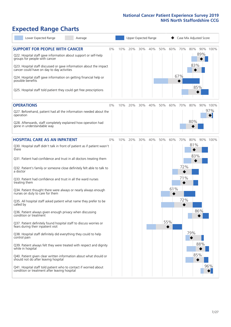# **Expected Range Charts**

| Lower Expected Range<br>Average                                                                                                                                                                                                                                                                                                                                                                                                                                                                                                                                                                                                                                                                                                                                                                                                                                                                                                                                                                                                                                                                                                                                                   |       |     |     | Upper Expected Range |     |     |                        |                          | Case Mix Adjusted Score                       |                 |
|-----------------------------------------------------------------------------------------------------------------------------------------------------------------------------------------------------------------------------------------------------------------------------------------------------------------------------------------------------------------------------------------------------------------------------------------------------------------------------------------------------------------------------------------------------------------------------------------------------------------------------------------------------------------------------------------------------------------------------------------------------------------------------------------------------------------------------------------------------------------------------------------------------------------------------------------------------------------------------------------------------------------------------------------------------------------------------------------------------------------------------------------------------------------------------------|-------|-----|-----|----------------------|-----|-----|------------------------|--------------------------|-----------------------------------------------|-----------------|
| <b>SUPPORT FOR PEOPLE WITH CANCER</b><br>Q22. Hospital staff gave information about support or self-help<br>groups for people with cancer<br>Q23. Hospital staff discussed or gave information about the impact<br>cancer could have on day to day activities<br>Q24. Hospital staff gave information on getting financial help or<br>possible benefits<br>Q25. Hospital staff told patient they could get free prescriptions                                                                                                                                                                                                                                                                                                                                                                                                                                                                                                                                                                                                                                                                                                                                                     | $0\%$ | 10% | 20% | 30%                  | 40% | 50% | 60%                    | 70%<br>67%               | 80%<br>89%<br>83%<br>85%                      | 90% 100%        |
| <b>OPERATIONS</b><br>Q27. Beforehand, patient had all the information needed about the<br>operation<br>Q28. Afterwards, staff completely explained how operation had<br>gone in understandable way                                                                                                                                                                                                                                                                                                                                                                                                                                                                                                                                                                                                                                                                                                                                                                                                                                                                                                                                                                                | $0\%$ | 10% | 20% | 30%                  | 40% | 50% | 60%                    | 70%                      | 80%<br>80%                                    | 90% 100%<br>97% |
| <b>HOSPITAL CARE AS AN INPATIENT</b><br>Q30. Hospital staff didn't talk in front of patient as if patient wasn't<br>there<br>Q31. Patient had confidence and trust in all doctors treating them<br>Q32. Patient's family or someone close definitely felt able to talk to<br>a doctor<br>Q33. Patient had confidence and trust in all the ward nurses<br>treating them<br>Q34. Patient thought there were always or nearly always enough<br>nurses on duty to care for them<br>Q35. All hospital staff asked patient what name they prefer to be<br>called by<br>Q36. Patient always given enough privacy when discussing<br>condition or treatment<br>Q37. Patient definitely found hospital staff to discuss worries or<br>fears during their inpatient visit<br>Q38. Hospital staff definitely did everything they could to help<br>control pain<br>Q39. Patient always felt they were treated with respect and dignity<br>while in hospital<br>Q40. Patient given clear written information about what should or<br>should not do after leaving hospital<br>Q41. Hospital staff told patient who to contact if worried about<br>condition or treatment after leaving hospital | $0\%$ | 10% | 20% | 30%                  | 40% | 50% | 60%<br>61%<br>◆<br>55% | 70%<br>72%<br>71%<br>72% | 80%<br>81%<br>83%<br>86%<br>79%<br>88%<br>85% | 90% 100%<br>96% |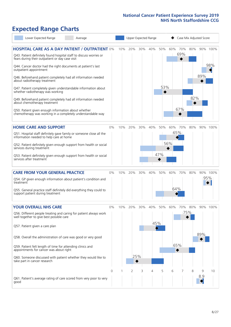# **Expected Range Charts**

| Lower Expected Range<br>Average                                                                                                                                                                                                                                                                                                                                                                                                                             |       |     | Upper Expected Range |     |            |            |            |            | Case Mix Adjusted Score |          |                 |
|-------------------------------------------------------------------------------------------------------------------------------------------------------------------------------------------------------------------------------------------------------------------------------------------------------------------------------------------------------------------------------------------------------------------------------------------------------------|-------|-----|----------------------|-----|------------|------------|------------|------------|-------------------------|----------|-----------------|
| <b>HOSPITAL CARE AS A DAY PATIENT / OUTPATIENT 0%</b><br>Q43. Patient definitely found hospital staff to discuss worries or<br>fears during their outpatient or day case visit<br>Q44. Cancer doctor had the right documents at patient's last                                                                                                                                                                                                              |       | 10% | 20%                  | 30% | 40%        | 50%        | 60%        | 70%<br>69% | 80%                     |          | 90% 100%<br>98% |
| outpatient appointment<br>Q46. Beforehand patient completely had all information needed<br>about radiotherapy treatment<br>Q47. Patient completely given understandable information about<br>whether radiotherapy was working<br>Q49. Beforehand patient completely had all information needed<br>about chemotherapy treatment<br>Q50. Patient given enough information about whether<br>chemotherapy was working in a completely understandable way        |       |     |                      |     |            | 53%        |            | 67%        | 82%                     | 89%      |                 |
| <b>HOME CARE AND SUPPORT</b><br>Q51. Hospital staff definitely gave family or someone close all the<br>information needed to help care at home<br>Q52. Patient definitely given enough support from health or social<br>services during treatment<br>Q53. Patient definitely given enough support from health or social<br>services after treatment                                                                                                         | 0%    | 10% | 20%                  | 30% | 40%        | 50%<br>47% | 60%<br>56% | 70%<br>65% | 80%                     |          | 90% 100%        |
| <b>CARE FROM YOUR GENERAL PRACTICE</b><br>Q54. GP given enough information about patient's condition and<br>treatment<br>Q55. General practice staff definitely did everything they could to<br>support patient during treatment                                                                                                                                                                                                                            | 0%    | 10% | 20%                  | 30% | 40%        | 50%        | 60%<br>64% | 70%        | 80%                     | 95%      | 90% 100%        |
| <b>YOUR OVERALL NHS CARE</b><br>Q56. Different people treating and caring for patient always work<br>well together to give best possible care<br>Q57. Patient given a care plan<br>Q58. Overall the administration of care was good or very good<br>Q59. Patient felt length of time for attending clinics and<br>appointments for cancer was about right<br>Q60. Someone discussed with patient whether they would like to<br>take part in cancer research | $0\%$ | 10% | 20%<br>25%           | 30% | 40%<br>45% | 50%        | 60%<br>65% | 70%        | 80%<br>75%              | 89%      | 90% 100%        |
| Q61. Patient's average rating of care scored from very poor to very<br>good                                                                                                                                                                                                                                                                                                                                                                                 | 0     |     | 2                    | 3   | 4          | 5          | 6          |            | 8                       | 9<br>8.9 | 10              |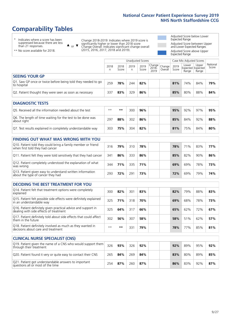# **Comparability Tables**

\* Indicates where a score has been suppressed because there are less than 21 responses.

\*\* No score available for 2018.

 $\triangle$  or  $\nabla$ 

Change 2018-2019: Indicates where 2019 score is significantly higher or lower than 2018 score Change Overall: Indicates significant change overall (2015, 2016, 2017, 2018 and 2019).

Adjusted Score below Lower Expected Range Adjusted Score between Upper and Lower Expected Ranges Adjusted Score above Upper Expected Range

|                                                                             | Case Mix Adjusted Scores<br>Unadjusted Scores |               |           |               |                                             |         |               |                                     |                |                   |
|-----------------------------------------------------------------------------|-----------------------------------------------|---------------|-----------|---------------|---------------------------------------------|---------|---------------|-------------------------------------|----------------|-------------------|
|                                                                             | 2018<br>n                                     | 2018<br>Score | 2019<br>n | 2019<br>Score | $\sim$   Change   Change  <br>2018-<br>2019 | Overall | 2019<br>Score | Lower<br>Expected Expected<br>Range | Upper<br>Range | National<br>Score |
| <b>SEEING YOUR GP</b>                                                       |                                               |               |           |               |                                             |         |               |                                     |                |                   |
| Q1. Saw GP once or twice before being told they needed to go<br>to hospital | 259                                           | 78%           | 244       | 82%           |                                             |         | 81%           | 74%                                 | 84%            | 79%               |
| Q2. Patient thought they were seen as soon as necessary                     | 337                                           | 83%           | 329       | 86%           |                                             |         | 85%           | 80%                                 | 88%            | 84%               |
| DIAGNOSTIC TESTS                                                            |                                               |               |           |               |                                             |         |               |                                     |                |                   |

| -----------------                                                         |      |     |     |     |  |     |     |     |     |
|---------------------------------------------------------------------------|------|-----|-----|-----|--|-----|-----|-----|-----|
| O5. Received all the information needed about the test                    | $**$ | **  | 300 | 96% |  | 95% | 92% | 97% | 95% |
| Q6. The length of time waiting for the test to be done was<br>about right | 297  | 88% | 302 | 86% |  | 85% | 84% | 92% | 88% |
| Q7. Test results explained in completely understandable way               | 303  | 75% | 304 | 82% |  | 81% | 75% | 84% | 80% |

| <b>FINDING OUT WHAT WAS WRONG WITH YOU</b>                                                      |     |     |     |     |     |     |     |     |
|-------------------------------------------------------------------------------------------------|-----|-----|-----|-----|-----|-----|-----|-----|
| Q10. Patient told they could bring a family member or friend<br>when first told they had cancer | 316 | 79% | 310 | 78% | 78% | 71% | 83% | 77% |
| Q11. Patient felt they were told sensitively that they had cancer                               | 341 | 86% | 333 | 86% | 85% | 82% | 90% | 86% |
| Q12. Patient completely understood the explanation of what<br>was wrong                         | 344 | 71% | 335 | 71% | 69% | 69% | 78% | 73% |
| Q13. Patient given easy to understand written information<br>about the type of cancer they had  | 293 | 72% | 291 | 73% | 72% | 69% | 79% | 74% |

| <b>DECIDING THE BEST TREATMENT FOR YOU</b>                                                              |      |     |     |     |     |     |     |     |
|---------------------------------------------------------------------------------------------------------|------|-----|-----|-----|-----|-----|-----|-----|
| Q14. Patient felt that treatment options were completely<br>explained                                   | 300  | 82% | 301 | 83% | 82% | 79% | 88% | 83% |
| Q15. Patient felt possible side effects were definitely explained<br>in an understandable way           | 325  | 71% | 318 | 70% | 69% | 68% | 78% | 73% |
| Q16. Patient definitely given practical advice and support in<br>dealing with side effects of treatment | 325  | 64% | 317 | 66% | 65% | 62% | 72% | 67% |
| Q17. Patient definitely told about side effects that could affect<br>them in the future                 | 302  | 56% | 307 | 58% | 58% | 51% | 62% | 57% |
| Q18. Patient definitely involved as much as they wanted in<br>decisions about care and treatment        | $**$ | **  | 331 | 79% | 78% | 77% | 85% | 81% |

| <b>CLINICAL NURSE SPECIALIST (CNS)</b>                                                    |     |     |     |     |  |     |     |     |     |
|-------------------------------------------------------------------------------------------|-----|-----|-----|-----|--|-----|-----|-----|-----|
| [Q19] Patient given the name of a CNS who would support them<br>through their treatment   | 326 | 93% | 326 | 92% |  | 92% | 89% | 95% | 92% |
| Q20. Patient found it very or quite easy to contact their CNS                             | 265 | 84% | 269 | 84% |  | 83% | 80% | 89% | 85% |
| Q21. Patient got understandable answers to important<br>questions all or most of the time | 254 | 87% | 260 | 87% |  | 86% | 83% | 92% | 87% |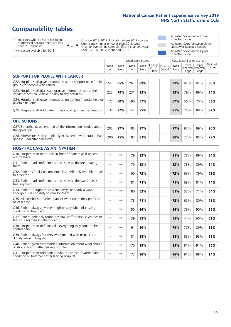# **Comparability Tables**

\* Indicates where a score has been suppressed because there are less than 21 responses.

\*\* No score available for 2018.

 $\triangle$  or  $\nabla$ 

Change 2018-2019: Indicates where 2019 score is significantly higher or lower than 2018 score Change Overall: Indicates significant change overall (2015, 2016, 2017, 2018 and 2019).

Adjusted Score below Lower Expected Range Adjusted Score between Upper and Lower Expected Ranges Adjusted Score above Upper Expected Range

|                                                                                                                   |              |               | <b>Unadjusted Scores</b> |               |                         |                   |               | Case Mix Adjusted Scores            |                |                   |
|-------------------------------------------------------------------------------------------------------------------|--------------|---------------|--------------------------|---------------|-------------------------|-------------------|---------------|-------------------------------------|----------------|-------------------|
|                                                                                                                   | 2018<br>n    | 2018<br>Score | 2019<br>n                | 2019<br>Score | Change<br>2018-<br>2019 | Change<br>Overall | 2019<br>Score | Lower<br>Expected Expected<br>Range | Upper<br>Range | National<br>Score |
| <b>SUPPORT FOR PEOPLE WITH CANCER</b>                                                                             |              |               |                          |               |                         |                   |               |                                     |                |                   |
| Q22. Hospital staff gave information about support or self-help<br>groups for people with cancer                  | 247          | 85%           | 267                      | 89%           |                         |                   | 89%           | 84%                                 | 92%            | 88%               |
| Q23. Hospital staff discussed or gave information about the<br>impact cancer could have on day to day activities  | 223          | 79%           | 231                      | 83%           |                         |                   | 83%           | 79%                                 | 89%            | 84%               |
| Q24. Hospital staff gave information on getting financial help or<br>possible benefits                            | 173          | 60%           | 190                      | 67%           |                         |                   | 67%           | 56%                                 | 70%            | 63%               |
| Q25. Hospital staff told patient they could get free prescriptions                                                | 134          | 77%           | 144                      | 85%           |                         |                   | 85%           | 76%                                 | 88%            | 82%               |
| <b>OPERATIONS</b>                                                                                                 |              |               |                          |               |                         |                   |               |                                     |                |                   |
| Q27. Beforehand, patient had all the information needed about<br>the operation                                    | 202          | 97%           | 185                      | 97%           |                         |                   | 97%           | 93%                                 | 99%            | 96%               |
| Q28. Afterwards, staff completely explained how operation had<br>gone in understandable way                       | 200          | 75%           | 183                      | 81%           |                         |                   | 80%           | 73%                                 | 85%            | 79%               |
| <b>HOSPITAL CARE AS AN INPATIENT</b>                                                                              |              |               |                          |               |                         |                   |               |                                     |                |                   |
| Q30. Hospital staff didn't talk in front of patient as if patient<br>wasn't there                                 | $* *$        | $***$         | 179                      | 82%           |                         |                   | 81%           | 78%                                 | 89%            | 84%               |
| Q31. Patient had confidence and trust in all doctors treating<br>them                                             | $* *$        | $***$         | 179                      | 83%           |                         |                   | 83%           | 78%                                 | 89%            | 84%               |
| Q32. Patient's family or someone close definitely felt able to talk<br>to a doctor                                | $**$         | $***$         | 160                      | 72%           |                         |                   | 72%           | 65%                                 | 79%            | 72%               |
| Q33. Patient had confidence and trust in all the ward nurses<br>treating them                                     | $**$         | $***$         | 181                      | 71%           |                         |                   | 71%           | 68%                                 | 81%            | 74%               |
| Q34. Patient thought there were always or nearly always<br>enough nurses on duty to care for them                 | $* *$        | $***$         | 180                      | 62%           |                         |                   | 61%           | 57%                                 | 71%            | 64%               |
| Q35. All hospital staff asked patient what name they prefer to<br>be called by                                    | $**$         | $***$         | 178                      | 71%           |                         |                   | 72%           | 62%                                 | 80%            | 71%               |
| Q36. Patient always given enough privacy when discussing<br>condition or treatment                                | $**$         | $***$         | 180                      | 86%           |                         |                   | 86%           | 79%                                 | 90%            | 85%               |
| Q37. Patient definitely found hospital staff to discuss worries or<br>fears during their inpatient visit          | $**$         | $***$         | 139                      | 55%           |                         |                   | 55%           | 44%                                 | 60%            | 52%               |
| Q38. Hospital staff definitely did everything they could to help<br>control pain                                  | $* *$        | $**$          | 161                      | 80%           |                         |                   | 79%           | 77%                                 | 89%            | 83%               |
| Q39. Patient always felt they were treated with respect and<br>dignity while in hospital                          | $\star\star$ | $***$         | 181                      | 88%           |                         |                   | 88%           | 83%                                 | 93%            | 88%               |
| Q40. Patient given clear written information about what should<br>or should not do after leaving hospital         | $**$         | $***$         | 170                      | 85%           |                         |                   | 85%           | 81%                                 | 91%            | 86%               |
| Q41. Hospital staff told patient who to contact if worried about<br>condition or treatment after leaving hospital | $**$         | $***$         | 173                      | 96%           |                         |                   | 96%           | 91%                                 | 98%            | 94%               |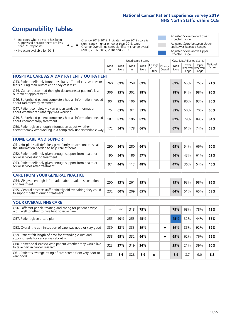# **Comparability Tables**

\* Indicates where a score has been suppressed because there are less than 21 responses.

\*\* No score available for 2018.

 $\triangle$  or  $\nabla$ 

Change 2018-2019: Indicates where 2019 score is significantly higher or lower than 2018 score Change Overall: Indicates significant change overall (2015, 2016, 2017, 2018 and 2019).

Adjusted Score below Lower Expected Range Adjusted Score between Upper and Lower Expected Ranges Adjusted Score above Upper Expected Range

|                                                                                                                       |              |               |            | Unadjusted Scores |                         |                   |               | Case Mix Adjusted Scores |                                     |                   |
|-----------------------------------------------------------------------------------------------------------------------|--------------|---------------|------------|-------------------|-------------------------|-------------------|---------------|--------------------------|-------------------------------------|-------------------|
|                                                                                                                       | 2018<br>n.   | 2018<br>Score | 2019<br>n. | 2019<br>Score     | Change<br>2018-<br>2019 | Change<br>Overall | 2019<br>Score | Lower<br>Range           | Upper<br>Expected Expected<br>Range | National<br>Score |
| <b>HOSPITAL CARE AS A DAY PATIENT / OUTPATIENT</b>                                                                    |              |               |            |                   |                         |                   |               |                          |                                     |                   |
| Q43. Patient definitely found hospital staff to discuss worries or<br>fears during their outpatient or day case visit | 260          | 69%           | 258        | 69%               |                         |                   | 69%           | 65%                      | 76%                                 | 71%               |
| Q44. Cancer doctor had the right documents at patient's last<br>outpatient appointment                                | 306          | 95%           | 302        | 98%               |                         |                   | 98%           | 94%                      | 98%                                 | 96%               |
| Q46. Beforehand patient completely had all information needed<br>about radiotherapy treatment                         | 90           | 92%           | 106        | 90%               |                         |                   | 89%           | 80%                      | 93%                                 | 86%               |
| Q47. Patient completely given understandable information<br>about whether radiotherapy was working                    | 75           | 63%           | 92         | 53%               |                         |                   | 53%           | 50%                      | 70%                                 | 60%               |
| Q49. Beforehand patient completely had all information needed<br>about chemotherapy treatment                         | 187          | 87%           | 196        | 82%               |                         |                   | 82%           | 79%                      | 89%                                 | 84%               |
| Q50. Patient given enough information about whether<br>chemotherapy was working in a completely understandable way    | 172          | 54%           | 178        | 66%               |                         |                   | 67%           | 61%                      | 74%                                 | 68%               |
| <b>HOME CARE AND SUPPORT</b>                                                                                          |              |               |            |                   |                         |                   |               |                          |                                     |                   |
| Q51. Hospital staff definitely gave family or someone close all<br>the information needed to help care at home        | 290          | 56%           | 280        | 66%               |                         |                   | 65%           | 54%                      | 66%                                 | 60%               |
| Q52. Patient definitely given enough support from health or<br>social services during treatment                       | 190          | 54%           | 186        | 57%               |                         |                   | 56%           | 43%                      | 61%                                 | 52%               |
| Q53. Patient definitely given enough support from health or<br>social services after treatment                        | 97           | 44%           | 113        | 48%               |                         |                   | 47%           | 36%                      | 54%                                 | 45%               |
| <b>CARE FROM YOUR GENERAL PRACTICE</b>                                                                                |              |               |            |                   |                         |                   |               |                          |                                     |                   |
| Q54. GP given enough information about patient's condition<br>and treatment                                           | 250          | 93%           | 261        | 95%               |                         |                   | 95%           | 93%                      | 98%                                 | 95%               |
| Q55. General practice staff definitely did everything they could<br>to support patient during treatment               | 232          | 60%           | 209        | 65%               |                         |                   | 64%           | 51%                      | 65%                                 | 58%               |
| <b>YOUR OVERALL NHS CARE</b>                                                                                          |              |               |            |                   |                         |                   |               |                          |                                     |                   |
| Q56. Different people treating and caring for patient always                                                          | $\star\star$ | $***$         |            |                   |                         |                   |               |                          |                                     |                   |
| work well together to give best possible care                                                                         |              |               | 318        | 75%               |                         |                   | 75%           | 68%                      | 78%                                 | 73%               |
| Q57. Patient given a care plan                                                                                        | 255          | 40%           | 253        | 45%               |                         |                   | 45%           | 32%                      | 44%                                 | 38%               |
| Q58. Overall the administration of care was good or very good                                                         | 339          | 83%           | 333        | 89%               |                         | ▼                 | 89%           | 85%                      | 92%                                 | 89%               |
| Q59. Patient felt length of time for attending clinics and<br>appointments for cancer was about right                 | 338          | 65%           | 332        | 66%               |                         | ▼                 | 65%           | 62%                      | 76%                                 | 69%               |
| Q60. Someone discussed with patient whether they would like<br>to take part in cancer research                        | 323          | 27%           | 319        | 24%               |                         |                   | 25%           | 21%                      | 39%                                 | 30%               |
| Q61. Patient's average rating of care scored from very poor to<br>very good                                           | 335          | 8.6           | 328        | 8.9               | ▲                       |                   | 8.9           | 8.7                      | 9.0                                 | 8.8               |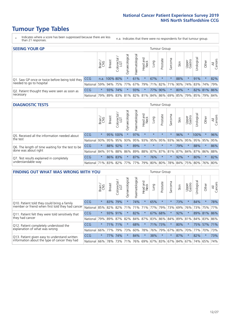- \* Indicates where a score has been suppressed because there are less than 21 responses.
- n.a. Indicates that there were no respondents for that tumour group.

| <b>SEEING YOUR GP</b>                           |                          |         |               |                   |                                     |                |                  |                       | Tumour Group |         |                                                 |                 |           |             |                |
|-------------------------------------------------|--------------------------|---------|---------------|-------------------|-------------------------------------|----------------|------------------|-----------------------|--------------|---------|-------------------------------------------------|-----------------|-----------|-------------|----------------|
|                                                 |                          | Brain   | <b>Breast</b> | Colorectal<br>LGT | $\overline{\sigma}$<br>Gynaecologic | Haematological | Head and<br>Neck | <b>Dung</b>           | Prostate     | Sarcoma | Skin                                            | Upper<br>Gastro | Urologica | Other       | All<br>Cancers |
| Q1. Saw GP once or twice before being told they | <b>CCG</b>               |         | n.a. 100% 80% |                   |                                     | 61%            | $\star$          | 67%                   | $\star$      |         | 88%                                             |                 | 91%       |             | 82%            |
| needed to go to hospital                        | National 59% 94% 75% 77% |         |               |                   |                                     |                |                  | 67%   79%   71%   82% |              |         | 71% 90% 74% 83% 74% 79%                         |                 |           |             |                |
| Q2. Patient thought they were seen as soon as   | <b>CCG</b>               | $\star$ | 93% 74%       |                   |                                     | 93%            | $\star$          |                       | 77% 90%      |         | 80%                                             |                 |           | 82% 81% 86% |                |
| necessary                                       | National                 | 79%     |               |                   |                                     |                |                  |                       |              |         | 89% 83% 81% 82% 81% 84% 86% 69% 85% 79% 85% 79% |                 |           |             | 84%            |

#### **DIAGNOSTIC TESTS** Tumour Group

|                                                   |              | Brain   | <b>Breast</b> | Colorectal<br>LGT           | ᅙ<br>Gynaecologic | Haematological | Head and<br>Neck | Lung        | Prostate | Sarcoma | Skin | Upper<br>Gastro | rological                                   | Other   | All<br>Cancers |
|---------------------------------------------------|--------------|---------|---------------|-----------------------------|-------------------|----------------|------------------|-------------|----------|---------|------|-----------------|---------------------------------------------|---------|----------------|
| Q5. Received all the information needed about     | <b>CCG</b>   | $\star$ |               | 95% 100%                    | $\star$           | 97%            | $\star$          | $\star$     | $\star$  |         | 96%  |                 | 100%                                        | $\star$ | 96%            |
| the test                                          | National     | 93%     | 95%           | 95%                         | 93%               | 95%            |                  | 93% 95% 95% |          | 93%     | 96%  | 95%             | 95%                                         | 95%     | 95%            |
| Q6. The length of time waiting for the test to be | <b>CCG</b>   | $\star$ |               | 88% 92%                     | $\star$           | 89%            | $\star$          | $\star$     | $\star$  | $\star$ | 79%  | $\star$         | 88%                                         | $\star$ | 86%            |
| done was about right                              | National     |         |               | 84% 91% 88%                 |                   |                |                  |             |          |         |      |                 | 86% 89% 88% 87% 87% 81% 87% 84% 87% 86% 88% |         |                |
| Q7. Test results explained in completely          | CCG          | $\star$ |               | 86% 83%                     | $\star$           | 87%            | $\star$          | 76%         | $\star$  | $\star$ | 92%  | $\star$         | 80%                                         | $\star$ | 82%            |
| understandable way                                | National 71% |         |               | 83% 82% 77% 77% 79% 80% 80% |                   |                |                  |             |          |         |      |                 | 78% 84% 75% 80% 76% 80%                     |         |                |

| <b>FINDING OUT WHAT WAS WRONG WITH YOU</b>        |          |         |               |                       |                |               |                  |         | Tumour Group |         |      |                 |            |         |                |
|---------------------------------------------------|----------|---------|---------------|-----------------------|----------------|---------------|------------------|---------|--------------|---------|------|-----------------|------------|---------|----------------|
|                                                   |          | Brain   | <b>Breast</b> | olorectal<br>LGT<br>Ū | Gynaecological | Haematologica | Head and<br>Neck | Lung    | Prostate     | Sarcoma | Skin | Upper<br>Gastro | Irological | Other   | All<br>Cancers |
| Q10. Patient told they could bring a family       | CCG      | $\star$ | 83%           | 79%                   |                | 74%           | $\star$          | 65%     | $\star$      | $\star$ | 73%  | $\star$         | 84%        | $\star$ | 78%            |
| member or friend when first told they had cancer  | National | 85%     | 82%           | 82%                   | 71%            | 71%           | 71%              | 77%     | 79%          | 73%     | 69%  | 76%             | 73%        | 75%     | 77%            |
| Q11. Patient felt they were told sensitively that | CCG      | $\star$ | 93%           | 91%                   |                | 82%           | $\ast$           | 67%     | 68%          | $\star$ | 92%  | $\star$         | 89%        | 81%     | 86%            |
| they had cancer                                   | National | 79%     |               | 89% 87% 82%           |                |               | 84% 87%          |         | 83% 86%      | 84%     |      | 89% 81%         |            | 84% 83% | 86%            |
| Q12. Patient completely understood the            | CCG      | $\star$ | 71%           | 71%                   |                | 68%           | $\star$          | 71%     | 73%          | $\star$ | 80%  |                 | 75%        | 57%     | 71%            |
| explanation of what was wrong                     | National | 66%     | 77%           | 79%                   | 73%            | 60%           | 78%              | 76%     | 79%          | 67%     | 80%  | 70%             | 77%        | 70%     | 73%            |
| Q13. Patient given easy to understand written     | CCG      | $\star$ | 77%           | 74%                   |                | 84%           | $\star$          | 38%     | $\star$      | $\star$ | 87%  | $\star$         | 82%        | $\ast$  | 73%            |
| information about the type of cancer they had     | National | 66%     | 78%           | 73%                   | 71%            | 76%           | 69%              | 67% 83% |              | 67%     | 84%  | 67%             | 74%        | 65%     | 74%            |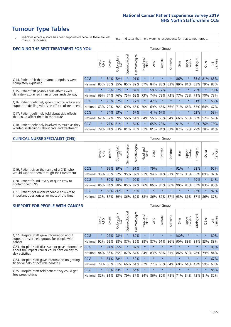\* Indicates where a score has been suppressed because there are less than 21 responses.

n.a. Indicates that there were no respondents for that tumour group.

| <b>DECIDING THE BEST TREATMENT FOR YOU</b>         |            |         |               |                             |                |                |                         |         | <b>Tumour Group</b> |                         |         |                 |            |             |                |
|----------------------------------------------------|------------|---------|---------------|-----------------------------|----------------|----------------|-------------------------|---------|---------------------|-------------------------|---------|-----------------|------------|-------------|----------------|
|                                                    |            | Brain   | <b>Breast</b> | olorectal.<br>LGT<br>$\cup$ | Gynaecological | Haematological | ead and<br>Neck<br>Head | Lung    | Prostate            | Sarcoma                 | Skin    | Upper<br>Gastro | Jrological | Other       | All<br>Cancers |
| Q14. Patient felt that treatment options were      | CCG        | $\star$ | 84%           | 82%                         | $\star$        | 91%            | $\star$                 | $\star$ | $\star$             | $\star$                 | 86%     | $\star$         |            | 83% 81%     | 83%            |
| completely explained                               | National   | 85%     | 85%           | 85%                         | 85%            | 82%            | 87%                     |         | 84% 83%             | 83%                     | 89%     | 81%             | 83%        | 79%         | 83%            |
| Q15. Patient felt possible side effects were       | <b>CCG</b> | $\star$ | 69%           | 67%                         | $\star$        | 84%            | $\star$                 |         | 58% 77%             |                         |         | $\star$         | 73%        | $\star$     | 70%            |
| definitely explained in an understandable way      | National   | 69%     | 74%           | 76%                         | 75%            | 69%            | 73%                     | 74%     | 73%                 | 73%                     | 77%     | 72%             | 71%        | 70%         | 73%            |
| Q16. Patient definitely given practical advice and | CCG        | $\star$ | 70%           | 62%                         |                | 77%            | $\star$                 | 42%     | $\star$             | $\star$                 | $\star$ | $\star$         | 61%        | $\star$     | 66%            |
| support in dealing with side effects of treatment  | National   | 63%     | 70%           | 70%                         | 69%            | 65%            | 70%                     | 69%     | 65%                 | 66%                     | 71%     | 66%             | 63%        | 64%         | 67%            |
| Q17. Patient definitely told about side effects    | CCG        | $\star$ |               | 54% 53%                     |                | 67%            | $\star$                 | 41%     | 67%                 | $\star$                 | $\star$ | $\star$         | 62%        | $\star$     | 58%            |
| that could affect them in the future               | National   | 62%     | 57%           | 59%                         | 56%            | 51%            | 64%                     |         | 56% 66%             | 54%                     | 66%     | 53%             |            | 56% 52%     | 57%            |
| Q18. Patient definitely involved as much as they   | CCG        | $\star$ | 77%           | 81%                         | $\star$        | 84%            | $\star$                 |         | 65% 73%             | $^\star$                | 91%     | $\star$         |            | 82% 76%     | 79%            |
| wanted in decisions about care and treatment       | National   | 79%     |               |                             | 81% 83% 81%    |                |                         |         |                     | 80% 81% 81% 84% 81% 87% |         | 79%             |            | 79% 78% 81% |                |

#### **CLINICAL NURSE SPECIALIST (CNS)** Tumour Group

|                                             |            | Brain   | <b>Breast</b> | Colorectal<br>LGT | $\overline{\sigma}$<br>aecologic<br>Š | Haematological | Head and<br>Neck | Lung    | Prostate            | Sarcoma | Skin                        | Upper<br>Gastro | rological                   | Other   | All<br>Cancers |
|---------------------------------------------|------------|---------|---------------|-------------------|---------------------------------------|----------------|------------------|---------|---------------------|---------|-----------------------------|-----------------|-----------------------------|---------|----------------|
| Q19. Patient given the name of a CNS who    | <b>CCG</b> | $\star$ |               | 99% 89%           |                                       | 91%            | $\star$          | 79%     | $\star$             | $\star$ | 92%                         | $\star$         | 93%                         | $\star$ | 92%            |
| would support them through their treatment  | National   | 95%     | 95%           | 92%               | 95%                                   |                | 92% 91%          |         | 94% 91%             | 91%     | 91%                         | 93%             | 85% 89%                     |         | 92%            |
| Q20. Patient found it very or quite easy to | CCG        | $\star$ | 80%           | 88%               | $\star$                               | 92%            | $\star$          | $\star$ | $\star$             | $\star$ | $\star$                     | $\star$         | 79%                         | $\star$ | 84%            |
| contact their CNS                           | National   | 86%     | 84%           | 88%               | 85%                                   |                |                  |         | 87% 86% 86% 80% 86% |         |                             |                 | 90%   85%   83%   83%   85% |         |                |
| Q21. Patient got understandable answers to  | CCG        | $\star$ | 88%           | 86%               | $\star$                               | 90%            | $\star$          | $\star$ | $\star$             | $\star$ | $\star$                     | $\star$         | 87%                         | $\star$ | 87%            |
| important questions all or most of the time | National   | 82%     | 87%           | 89%               |                                       |                |                  |         |                     |         | 86% 89% 88% 86% 87% 87% 93% |                 | 86% 87% 86% 87%             |         |                |

| <b>SUPPORT FOR PEOPLE WITH CANCER</b>                                                             |            |         |               |                        |                |                |                        |         | Tumour Group |         |         |                 |           |         |                |
|---------------------------------------------------------------------------------------------------|------------|---------|---------------|------------------------|----------------|----------------|------------------------|---------|--------------|---------|---------|-----------------|-----------|---------|----------------|
|                                                                                                   |            | Brain   | <b>Breast</b> | olorectal.<br>LGT<br>Ũ | Gynaecological | Haematological | ad and<br>Neck<br>Head | Lung    | Prostate     | Sarcoma | Skin    | Upper<br>Gastro | Jrologica | Other   | All<br>Cancers |
| Q22. Hospital staff gave information about<br>support or self-help groups for people with         | <b>CCG</b> | $\star$ | 92%           | 98%                    | $\star$        | 82%            | $\star$                | $\star$ | $\star$      | $\star$ | 100%    | $\star$         | $\star$   | $\star$ | 89%            |
| cancer                                                                                            | National   | 92%     | 92%           | 88%                    | 87%            | 86%            | 88%                    | 87%     | 91%          | 86%     | 90%     | 88%             | 81%       | 83%     | 88%            |
| Q23. Hospital staff discussed or gave information<br>about the impact cancer could have on day to | CCG        | $\star$ | 91%           | 85%                    | $\star$        | 82%            | $\star$                | $\star$ | $\star$      | $\star$ | $\star$ | $\star$         | $\star$   | $\star$ | 83%            |
| day activities                                                                                    | National   | 84%     | 86%           | 85%                    | 82%            | 84%            | 84%                    | 83%     | 88%          | 81%     | 86%     | 83%             | 78%       | 79%     | 84%            |
| Q24. Hospital staff gave information on getting                                                   | CCG        | $\star$ |               | 81% 68%                | $\star$        | 50%            | $\ast$                 | $\star$ | $\star$      | $\star$ | $\star$ | $\star$         | $\star$   | $\star$ | 67%            |
| financial help or possible benefits                                                               | National   | 78%     |               | 68% 61%                | 66%            | 61%            | 67%                    | 72%     | 55%          | 64%     | 60%     | 64%             | 47%       | 59%     | 63%            |
| Q25. Hospital staff told patient they could get                                                   | <b>CCG</b> | $\star$ | 92%           | 83%                    | $\star$        | 86%            | $\star$                | $\star$ | $\star$      | $\star$ | $\star$ | $\star$         | $\star$   | $\ast$  | 85%            |
| free prescriptions                                                                                | National   | 82%     |               | 81% 83%                | 79%            |                | 87% 84% 86% 80%        |         |              | 78%     | 71%     | $84\%$          | 73%       | 81%     | 82%            |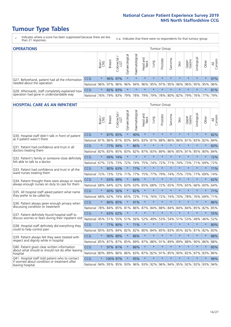- \* Indicates where a score has been suppressed because there are less than 21 responses.
- n.a. Indicates that there were no respondents for that tumour group.

| <b>OPERATIONS</b>                                |            |         |               |                        |                   |                |                  |         | Tumour Group |         |         |                 |                                                       |         |                |
|--------------------------------------------------|------------|---------|---------------|------------------------|-------------------|----------------|------------------|---------|--------------|---------|---------|-----------------|-------------------------------------------------------|---------|----------------|
|                                                  |            | Brain   | <b>Breast</b> | olorectal.<br>LGT<br>Ü | ত<br>Gynaecologic | Haematological | Head and<br>Neck | Lung    | Prostate     | Sarcoma | Skin    | Upper<br>Gastro | Jrological                                            | Other   | All<br>Cancers |
| Q27. Beforehand, patient had all the information | CCG        | $\star$ |               | 96% 97%                | $\star$           |                | $\star$          | $\star$ | $\star$      | $\star$ | $\star$ | $\star$         | $\star$                                               | $\star$ | 97%            |
| needed about the operation                       | National   | 96%     | 97% 96%       |                        |                   |                |                  |         |              |         |         |                 | 96% 94% 96% 95% 97% 95% 96% 96% 95% 95% 95% 96%       |         |                |
| Q28. Afterwards, staff completely explained how  | <b>CCG</b> | $\star$ |               | 82% 83%                | $\star$           | $\star$        | $\star$          | $\star$ | $\star$      | $\star$ | $\star$ | $\star$         | $\star$                                               | $\star$ | 81%            |
| operation had gone in understandable way         | National   | 76%     |               | 79% 83%                |                   |                |                  |         |              |         |         |                 | 79%  78%  79%  79%  78%  80%  82%  79%  76%  77%  79% |         |                |

#### **HOSPITAL CARE AS AN INPATIENT** Tumour Group

|                                                                                                  |              | Brain   | Breast   | Colorectal /<br>LGT | Gynaecological | Haematological | Head and<br>Neck | Lung        | Prostate | Sarcoma | Skin            | Upper<br>Gastro | Urological | Other   | All<br>Cancers |
|--------------------------------------------------------------------------------------------------|--------------|---------|----------|---------------------|----------------|----------------|------------------|-------------|----------|---------|-----------------|-----------------|------------|---------|----------------|
| Q30. Hospital staff didn't talk in front of patient                                              | CCG          | $\star$ | 87%      | 85%                 | $\star$        | 90%            | $\star$          | $\star$     | $\star$  | $\star$ | $\star$         | $\star$         | $\star$    | $\star$ | 82%            |
| as if patient wasn't there                                                                       | National     | 81%     | 86%      | 81%                 | 83%            | 84%            | 83%              | 81%         | 88%      | 86%     | 86%             | 81%             | 83%        | 82%     | 84%            |
| 031. Patient had confidence and trust in all                                                     | CCG          | $\star$ | 77%      | 94%                 | $\star$        | 86%            | $\star$          | $\star$     | $\star$  | $\star$ | $\star$         | $\star$         | $\star$    | $\star$ | 83%            |
| doctors treating them                                                                            | National     | 82%     |          | 83% 85%             | 83%            | 82%            |                  | 87% 83%     | 89%      | 86%     | 85%             | 81%             | 85%        | 80%     | 84%            |
| Q32. Patient's family or someone close definitely                                                | CCG          | $\star$ | 69%      | 74%                 | $\star$        | $\star$        | $\star$          | $\star$     | $\star$  | $\star$ | $\star$         | $\star$         | $\star$    | $\star$ | 72%            |
| felt able to talk to a doctor                                                                    | National     | 67%     | 72%      | 73%                 | 72%            | 74%            | 75%              | 74%         | 72%      | 71%     | 74%             | 73%             | 71%        | 69%     | 72%            |
| Q33. Patient had confidence and trust in all the                                                 | CCG          | $\star$ | 80% 63%  |                     | $\star$        | 77%            | $\star$          | $\star$     | $\star$  | $\star$ | $\star$         | $\star$         | $\star$    | $\star$ | 71%            |
| ward nurses treating them                                                                        | National     | 72%     | 73%      | 72%                 | 71%            | 77%            | 75%              | 77%         | 79%      | 74%     | 75%             | 73%             | 77%        | 69%     | 74%            |
| Q34. Patient thought there were always or nearly                                                 | CCG          | $\star$ | 63%      | 49%                 | $\star$        | 64%            | $\star$          | $\star$     | $\star$  | $\star$ | $\star$         | $\star$         | $\star$    | $\star$ | 62%            |
| always enough nurses on duty to care for them                                                    | National     | 68%     | 64%      | 62%                 | 63%            | 63%            | 65%              | 68%         | 72%      | 65%     | 70%             | 65%             | 66%        | 60%     | 64%            |
| Q35. All hospital staff asked patient what name                                                  | CCG          | $\star$ |          | 60% 56%             |                | 82%            | $\star$          | $\star$     | $\star$  | $\star$ | $\star$         | $\star$         | $\star$    | $\star$ | 71%            |
| they prefer to be called by                                                                      | National     | 68%     | 62%      | 74%                 | 65%            | 72%            | 71%              | 76%         | 72%      | 74%     | 70%             | 78%             | 76%        | 69%     | 71%            |
| Q36. Patient always given enough privacy when                                                    | CCG          | $\star$ | 80% 85%  |                     | $\star$        | 91%            | $\star$          | $\star$     | $\star$  | $\star$ | $\star$         | $\star$         | $\star$    | $\star$ | 86%            |
| discussing condition or treatment                                                                | National     | 78%     |          | 84% 85%             | 81%            |                |                  | 86% 87% 84% | 88%      | 84%     | 84%             | 84%             | 85%        | 82%     | 85%            |
| Q37. Patient definitely found hospital staff to                                                  | CCG          | $\star$ |          | 63% 62%             | $\star$        | $\star$        | $\star$          | $\star$     | $\star$  | $\star$ | $\star$         | ÷               | $\star$    | $\star$ | 55%            |
| discuss worries or fears during their inpatient visit                                            | National     | 45%     |          | 51% 55%             | 51%            | 56%            | 52%              | 49%         | 53%      | 54%     | 51%             | 53%             | 49%        | 46%     | 52%            |
| Q38. Hospital staff definitely did everything they                                               | CCG          | $\star$ |          | 77% 80%             | $\star$        | 71%            | $\star$          | $\star$     | $\star$  | $\star$ | $\star$         | $\star$         | $\star$    | $\star$ | 80%            |
| could to help control pain                                                                       | National     | 85%     | 83%      | 84%                 | 82%            | 82%            | 80%              | 84%         | 85%      | 83%     | 85%             | 82%             | 81%        | 82%     | 83%            |
| Q39. Patient always felt they were treated with                                                  | CCG          | $\star$ | 90% 89%  |                     | $\star$        | 86%            | $\star$          | $\star$     | $\star$  | $\star$ | $\star$         | $\star$         | $\star$    | $\star$ | 88%            |
| respect and dignity while in hospital                                                            | National     | 85%     |          | 87% 87%             | 85%            |                |                  | 89% 87% 88% | 91%      | 89%     | 89%             | 88%             | 90%        | 86%     | 88%            |
| Q40. Patient given clear written information<br>about what should or should not do after leaving | CCG          | $\star$ | 97% 81%  |                     | $\star$        | 86%            | $\star$          | $\star$     | $\star$  | $\star$ | $\star$         | $\star$         | $\star$    | $\star$ | 85%            |
| hospital                                                                                         | National     | 80%     | 89%      | 86%                 | 86%            | 83%            |                  | 87% 82%     | 91%      | 85%     | 90%             | 82%             | 87%        | 83%     | 86%            |
| Q41. Hospital staff told patient who to contact<br>if worried about condition or treatment after | CCG          | $\star$ | 100% 97% |                     | $\star$        | 95%            | $\star$          | $\star$     | $\star$  | $\star$ | $\star$         | $\star$         | $\star$    | $\star$ | 96%            |
| leaving hospital                                                                                 | National 94% |         |          | 95% 95% 93%         |                |                |                  | 96% 93% 92% |          |         | 96% 94% 95% 92% |                 | 92%        | 93%     | 94%            |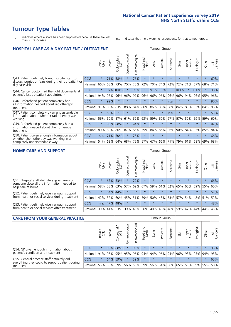# **Tumour Type Tables**

- \* Indicates where a score has been suppressed because there are less than 21 responses.
- n.a. Indicates that there were no respondents for that tumour group.

| <b>HOSPITAL CARE AS A DAY PATIENT / OUTPATIENT</b>                                                                    |            |         |               |                          |                |                |                         |         |          | <b>Tumour Group</b> |         |                 |            |         |                |  |  |  |  |  |  |  |
|-----------------------------------------------------------------------------------------------------------------------|------------|---------|---------------|--------------------------|----------------|----------------|-------------------------|---------|----------|---------------------|---------|-----------------|------------|---------|----------------|--|--|--|--|--|--|--|
|                                                                                                                       |            | Brain   | <b>Breast</b> | ╮<br>Colorectal /<br>LGT | Gynaecological | Haematological | ead and<br>Neck<br>Head | Lung    | Prostate | Sarcoma             | Skin    | Upper<br>Gastro | Urological | Other   | All<br>Cancers |  |  |  |  |  |  |  |
| Q43. Patient definitely found hospital staff to                                                                       | CCG        | $\star$ | 71%           | 58%                      | $^\star$       | 76%            | $\star$                 | $\star$ | $\star$  | $\star$             | $\star$ | $\star$         | $\star$    | $\star$ | 69%            |  |  |  |  |  |  |  |
| discuss worries or fears during their outpatient or<br>day case visit                                                 | National   | 66%     | 68%           | 73%                      | 70%            | 73%            | 72%                     | 70%     | 74%      | 72%                 | 72%     | 71%             | 67%        | 68%     | 71%            |  |  |  |  |  |  |  |
| Q44. Cancer doctor had the right documents at<br>patient's last outpatient appointment                                | <b>CCG</b> | $\star$ |               | 97% 100%                 |                | 95%            | $\star$                 | 91%     | 100%     | $\star$             | 100%    |                 | 100%       | $\star$ | 98%            |  |  |  |  |  |  |  |
|                                                                                                                       | National   | 94%     | 96%           | 96%                      | 96%            | 97%            | 96%                     | 96%     | 96%      | 96%                 | 96%     | 94%             | 96%        | 95%     | 96%            |  |  |  |  |  |  |  |
| Q46. Beforehand patient completely had                                                                                | CCG        | $\star$ | 92%           | $\star$                  |                |                | $\star$                 | $\star$ | $\star$  | n.a.                |         | $\star$         | $\star$    | $\star$ | 90%            |  |  |  |  |  |  |  |
| all information needed about radiotherapy<br>treatment                                                                | National   | 91%     | 88%           | 83%                      | 88%            | 84%            | 86%                     | 86%     | 88%      | 88%                 | 84%     | 86%             | 83%        | 84%     | 86%            |  |  |  |  |  |  |  |
| Q47. Patient completely given understandable<br>information about whether radiotherapy was<br>working                 | CCG        | $\star$ | 52%           | $\star$                  | $\star$        |                | $\star$                 | $\star$ | $\star$  | n.a.                | $\star$ | $\star$         | $\star$    | $\ast$  | 53%            |  |  |  |  |  |  |  |
|                                                                                                                       | National   | 56%     | 60%           | 57%                      | 61%            | 62%            | 63%                     | 59%     | 60%      | 67%                 | 57%     | 52%             | 59%        | 59%     | 60%            |  |  |  |  |  |  |  |
| Q49. Beforehand patient completely had all<br>information needed about chemotherapy<br>treatment                      | CCG        | $\star$ | 85%           | 80%                      | $\star$        | 94%            | $\star$                 | $\star$ | $\star$  | $\star$             | $\star$ | $\star$         | $\star$    | $\ast$  | 82%            |  |  |  |  |  |  |  |
|                                                                                                                       | National   | 80%     | 82%           | 86%                      | 87%            | 85%            | 79%                     | 84%     | 86%      | 86%                 | 90%     | 84%             | 85%        | 85%     | 84%            |  |  |  |  |  |  |  |
| Q50. Patient given enough information about<br>whether chemotherapy was working in a<br>completely understandable way | <b>CCG</b> | n.a.    | 71%           | 50%                      | $^\star$       | 75%            | $\star$                 | $\star$ | $\star$  | $\star$             | 大       | $\star$         | $\star$    | $\star$ | 66%            |  |  |  |  |  |  |  |
|                                                                                                                       | National   | 54%     | 62%           | 64%                      | 68%            | 75%            |                         | 57% 67% | 66%      | 71%                 | 79%     | 61%             | 68%        | 69%     | 68%            |  |  |  |  |  |  |  |

#### **HOME CARE AND SUPPORT** Tumour Group

|                                                                                                                   |            | Brain   | <b>Breast</b> | olorectal<br>LGT<br>Ü | त्त<br>Gynaecologic | Haematological | ad and<br>Neck<br>Head | <b>Dung</b> | Prostate | Sarcoma | Skin    | Upper<br>Gastro | Urological  | Other   | All<br>Cancers |
|-------------------------------------------------------------------------------------------------------------------|------------|---------|---------------|-----------------------|---------------------|----------------|------------------------|-------------|----------|---------|---------|-----------------|-------------|---------|----------------|
| Q51. Hospital staff definitely gave family or<br>someone close all the information needed to<br>help care at home | <b>CCG</b> | $\star$ |               | 67% 53%               |                     | 77%            | $\star$                | $\star$     | $\star$  | $\star$ | $\star$ | $\star$         | $\star$     | $\star$ | 66%            |
|                                                                                                                   | National   | 58%     | 58%           | 63%                   | 57%                 | 62% 67%        |                        | 59%         | 61%      | 62%     | 65%     | 60%             | 59% 55%     |         | 60%            |
| Q52. Patient definitely given enough support<br>from health or social services during treatment                   | <b>CCG</b> | $\star$ |               | 64% 44%               | $\star$             | $\star$        | $\star$                | $\star$     | $\star$  |         | $\star$ | $\star$         | $\star$     | $\star$ | 57%            |
|                                                                                                                   | National   | 42%     | 52%           | 60%                   |                     | 45% 51%        | 59%                    | 50%         | 48%      |         | 53% 57% |                 | 54% 48% 51% |         | 52%            |
| Q53. Patient definitely given enough support<br>from health or social services after treatment                    | <b>CCG</b> | n.a.    | 47%           | 48%                   | $\star$             | $\star$        | $\star$                | $\star$     | $\star$  | $\star$ | $\star$ | $\star$         | $\star$     | $\star$ | 48%            |
|                                                                                                                   | National   | 39%     | 41% 53%       |                       | 39%                 | $ 43\% $       | 56%                    | 40%         | 46%      | 48% 59% |         | 47%             | 44%         | 44%     | 45%            |

| <b>CARE FROM YOUR GENERAL PRACTICE</b>                                                                     | Tumour Group |         |               |                   |                |                                     |                                         |         |          |         |         |                             |           |         |                |
|------------------------------------------------------------------------------------------------------------|--------------|---------|---------------|-------------------|----------------|-------------------------------------|-----------------------------------------|---------|----------|---------|---------|-----------------------------|-----------|---------|----------------|
|                                                                                                            |              | Brain   | <b>Breast</b> | Colorectal<br>LGT | Gynaecological | $\overline{\sigma}$<br>Haematologic | Head and<br>Neck                        | Lung    | Prostate | Sarcoma | Skin    | Upper<br>Gastro             | Urologica | Other   | All<br>Cancers |
| Q54. GP given enough information about<br>patient's condition and treatment                                | <b>CCG</b>   | $\star$ |               | 96% 88%           |                | 95%                                 | $\star$                                 | $\star$ | $\star$  | $\star$ | $\star$ | $\star$                     | $\star$   | $\star$ | 95%            |
|                                                                                                            | National 91% |         |               | 96% 95%           | 95%            |                                     | 96% 94% 94% 96% 94% 96% 93% 95% 94% 95% |         |          |         |         |                             |           |         |                |
| Q55. General practice staff definitely did<br>everything they could to support patient during<br>treatment | <b>CCG</b>   | $\star$ | 64%           | 59%               | $\star$        | 59%                                 | $\star$                                 | $\star$ | $\star$  | $\star$ | $\star$ | $\star$                     | $\star$   | $\star$ | 65%            |
|                                                                                                            | National     | 55%     |               | 58% 59%           | 56%            |                                     | 56% 59%                                 |         |          |         |         | 56% 64% 56% 65% 59% 59% 55% |           |         | 58%            |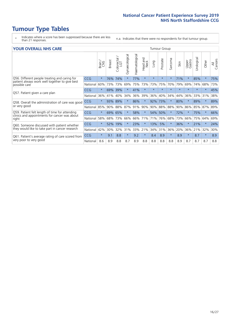- \* Indicates where a score has been suppressed because there are less than 21 responses.
- n.a. Indicates that there were no respondents for that tumour group.

#### **YOUR OVERALL NHS CARE** THE CONSTRUCTION OF THE THROUP GROUP TUMOUR GROUP

| I YUN YENAEL NI IYOANE |         |               |                                 |                |                |                         |                                  | iamoar oroap |                |         |                 |               |            |                |  |  |  |  |  |
|------------------------|---------|---------------|---------------------------------|----------------|----------------|-------------------------|----------------------------------|--------------|----------------|---------|-----------------|---------------|------------|----------------|--|--|--|--|--|
|                        | Brain   | <b>Breast</b> | ∽<br>olorectal<br>LGT<br>$\cup$ | Gynaecological | Haematological | aad and<br>Neck<br>Head | Lung                             | Prostate     | Sarcoma        | Skin    | Upper<br>Gastro | ී<br>Urologic | Other      | All<br>Cancers |  |  |  |  |  |
| <b>CCG</b>             | $\star$ | 76%           | 74%                             |                | 77%            | $\star$                 | $\star$                          | $\star$      | $\star$        | 71%     | $\star$         | 85%           | $\ast$     | 75%            |  |  |  |  |  |
| National               | 60%     | 73%           | 73%                             | 69%            | 75%            | 73%                     | 73%                              | 75%          | 70%            | 79%     | 69%             | 74%           | 68%        | 73%            |  |  |  |  |  |
| <b>CCG</b>             | $\star$ | 69%           | 39%                             |                | 41%            | $\ast$                  | $\star$                          | $\star$      | $\star$        | $\star$ | $\star$         | $\star$       | $\star$    | 45%            |  |  |  |  |  |
| National               | 36%     | 41%           | 40%                             | 34%            | 36%            | 39%                     | 36%                              | 40%          | 34%            | 44%     | 36%             | 33%           | 31%        | 38%            |  |  |  |  |  |
| <b>CCG</b>             | $\star$ | 93%           | 89%                             |                | 86%            | $\ast$                  | 92%                              | 73%          | $\star$        | 80%     |                 | 89%           | $\star$    | 89%            |  |  |  |  |  |
| National               | 85%     | 90%           | 88%                             | 87%            |                |                         |                                  |              | 88%            | 90%     | 86%             |               |            | 89%            |  |  |  |  |  |
| <b>CCG</b>             | $\star$ |               | 65%                             |                | 58%            | $\star$                 |                                  | 50%          | $\star$        | 72%     |                 | 75%           | $\ast$     | 66%            |  |  |  |  |  |
| National               | 58%     | 68%           | 73%                             | 66%            |                |                         | 71%                              | 76%          | 68%            | 73%     | 66%             | 75%           | 64%        | 69%            |  |  |  |  |  |
| <b>CCG</b>             | $\star$ | 52%           | 19%                             |                | 23%            | $\ast$                  | 13%                              | 5%           | $\ast$         | 36%     |                 | 21%           | $\ast$     | 24%            |  |  |  |  |  |
| National               | 42%     | 30%           | 32%                             | 31%            |                |                         |                                  |              | 36%            | 20%     | 36%             |               | 32%        | 30%            |  |  |  |  |  |
| <b>CCG</b>             | $\star$ | 9.1           | 8.8                             | $\star$        | 9.2            | $\star$                 | 8.4                              | 8.9          | $\star$        | 8.9     | $\star$         | 8.7           | $\ast$     | 8.9            |  |  |  |  |  |
| National               | 8.6     | 8.9           | 8.8                             | 8.7            | 8.9            | 8.8                     | 8.8                              | 8.8          | 8.8            | 8.9     | 8.7             | 8.7           | 8.7        | 8.8            |  |  |  |  |  |
|                        |         |               |                                 | 69%            |                |                         | 91%<br>90%<br>66% 71%<br>33% 21% |              | 54%<br>34% 31% | 90% 88% |                 |               | 85%<br>21% | 87%            |  |  |  |  |  |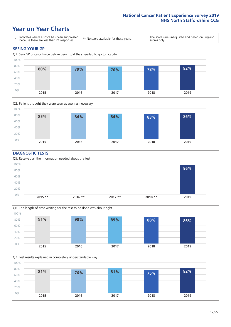### **Year on Year Charts**





#### **DIAGNOSTIC TESTS**





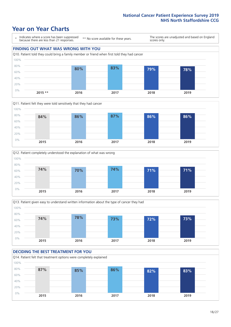### **Year on Year Charts**











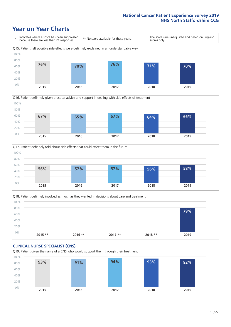### **Year on Year Charts**







Q18. Patient definitely involved as much as they wanted in decisions about care and treatment  $0%$ 20% 40% 60% 80% 100% **2015 \*\* 2016 \*\* 2017 \*\* 2018 \*\* 2019 79%**

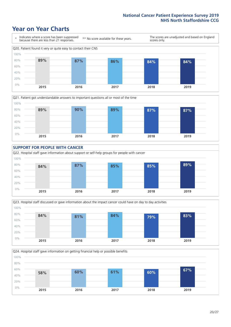### **Year on Year Charts**

0%









**2015 2016 2017 2018 2019**

Q24. Hospital staff gave information on getting financial help or possible benefits 20% 40% 60% 80% 100% **58% 60% 61% 60% 67%**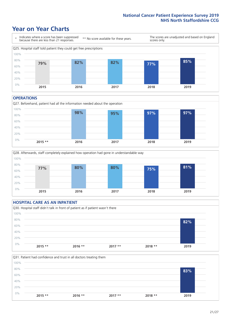### **Year on Year Charts**



#### **OPERATIONS**

Q27. Beforehand, patient had all the information needed about the operation  $0%$ 20% 40% 60% 80% 100% **2015 \*\* 2016 2017 2018 2019 98% 95% 97% 97%**



#### **HOSPITAL CARE AS AN INPATIENT** Q30. Hospital staff didn't talk in front of patient as if patient wasn't there 0% 20% 40% 60% 80% 100% **2015 \*\* 2016 \*\* 2017 \*\* 2018 \*\* 2019 82%**

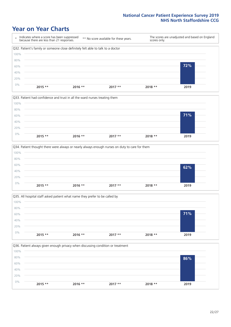### **Year on Year Charts**









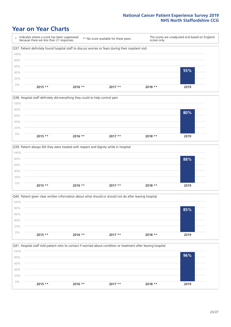### **Year on Year Charts**









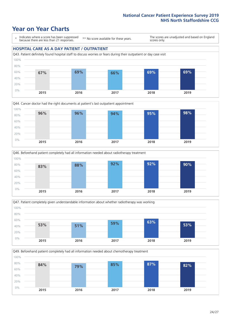### **Year on Year Charts**

\* Indicates where a score has been suppressed because there are less than 21 responses.

\*\* No score available for these years.

The scores are unadjusted and based on England scores only.

#### **HOSPITAL CARE AS A DAY PATIENT / OUTPATIENT**









Q49. Beforehand patient completely had all information needed about chemotherapy treatment

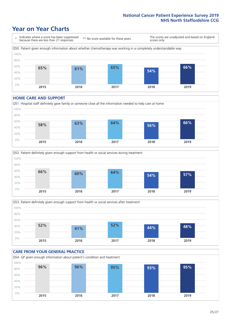### **Year on Year Charts**

\* Indicates where a score has been suppressed because there are less than 21 responses. \*\* No score available for these years. The scores are unadjusted and based on England scores only. Q50. Patient given enough information about whether chemotherapy was working in a completely understandable way 0% 20% 40% 60% 80% 100% **2015 2016 2017 2018 2019 65% 61% 65% 54% 66%**

#### **HOME CARE AND SUPPORT**







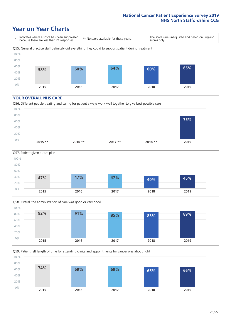### **Year on Year Charts**

\* Indicates where a score has been suppressed because there are less than 21 responses. \*\* No score available for these years. The scores are unadjusted and based on England scores only. Q55. General practice staff definitely did everything they could to support patient during treatment 0% 20% 40% 60% 80% 100% **2015 2016 2017 2018 2019 58% 60% 64% 60% 65%**

#### **YOUR OVERALL NHS CARE**







Q59. Patient felt length of time for attending clinics and appointments for cancer was about right